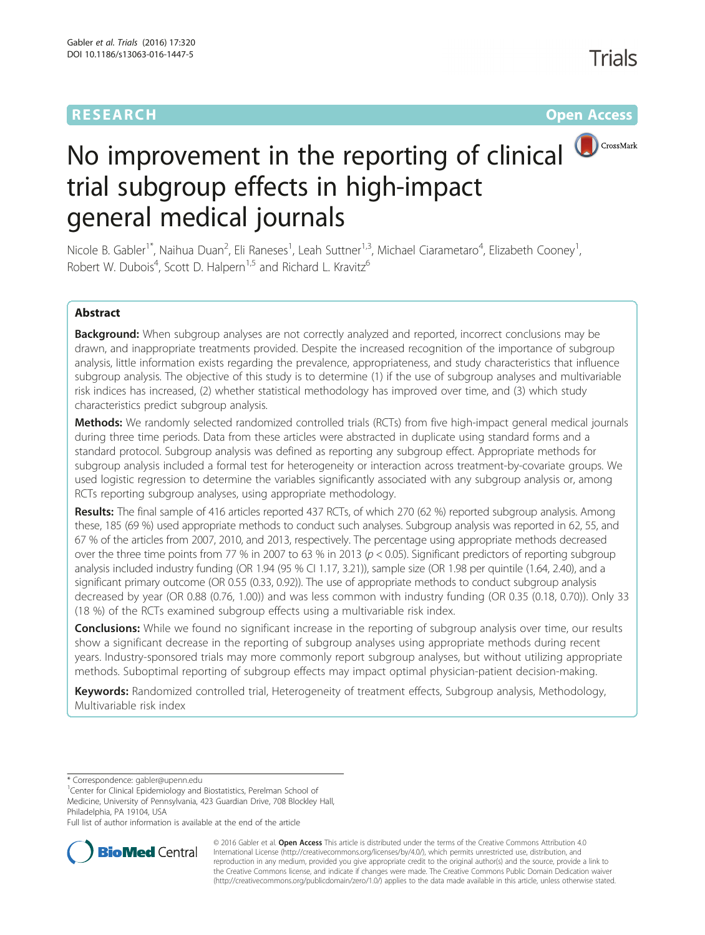# **RESEARCH CHE Open Access**



# No improvement in the reporting of clinical trial subgroup effects in high-impact general medical journals

Nicole B. Gabler<sup>1\*</sup>, Naihua Duan<sup>2</sup>, Eli Raneses<sup>1</sup>, Leah Suttner<sup>1,3</sup>, Michael Ciarametaro<sup>4</sup>, Elizabeth Cooney<sup>1</sup> , Robert W. Dubois<sup>4</sup>, Scott D. Halpern<sup>1,5</sup> and Richard L. Kravitz<sup>6</sup>

## Abstract

Background: When subgroup analyses are not correctly analyzed and reported, incorrect conclusions may be drawn, and inappropriate treatments provided. Despite the increased recognition of the importance of subgroup analysis, little information exists regarding the prevalence, appropriateness, and study characteristics that influence subgroup analysis. The objective of this study is to determine (1) if the use of subgroup analyses and multivariable risk indices has increased, (2) whether statistical methodology has improved over time, and (3) which study characteristics predict subgroup analysis.

**Methods:** We randomly selected randomized controlled trials (RCTs) from five high-impact general medical journals during three time periods. Data from these articles were abstracted in duplicate using standard forms and a standard protocol. Subgroup analysis was defined as reporting any subgroup effect. Appropriate methods for subgroup analysis included a formal test for heterogeneity or interaction across treatment-by-covariate groups. We used logistic regression to determine the variables significantly associated with any subgroup analysis or, among RCTs reporting subgroup analyses, using appropriate methodology.

Results: The final sample of 416 articles reported 437 RCTs, of which 270 (62 %) reported subgroup analysis. Among these, 185 (69 %) used appropriate methods to conduct such analyses. Subgroup analysis was reported in 62, 55, and 67 % of the articles from 2007, 2010, and 2013, respectively. The percentage using appropriate methods decreased over the three time points from 77 % in 2007 to 63 % in 2013 ( $p < 0.05$ ). Significant predictors of reporting subgroup analysis included industry funding (OR 1.94 (95 % CI 1.17, 3.21)), sample size (OR 1.98 per quintile (1.64, 2.40), and a significant primary outcome (OR 0.55 (0.33, 0.92)). The use of appropriate methods to conduct subgroup analysis decreased by year (OR 0.88 (0.76, 1.00)) and was less common with industry funding (OR 0.35 (0.18, 0.70)). Only 33 (18 %) of the RCTs examined subgroup effects using a multivariable risk index.

**Conclusions:** While we found no significant increase in the reporting of subgroup analysis over time, our results show a significant decrease in the reporting of subgroup analyses using appropriate methods during recent years. Industry-sponsored trials may more commonly report subgroup analyses, but without utilizing appropriate methods. Suboptimal reporting of subgroup effects may impact optimal physician-patient decision-making.

Keywords: Randomized controlled trial, Heterogeneity of treatment effects, Subgroup analysis, Methodology, Multivariable risk index

\* Correspondence: [gabler@upenn.edu](mailto:gabler@upenn.edu) <sup>1</sup>

<sup>1</sup> Center for Clinical Epidemiology and Biostatistics, Perelman School of Medicine, University of Pennsylvania, 423 Guardian Drive, 708 Blockley Hall, Philadelphia, PA 19104, USA

Full list of author information is available at the end of the article



© 2016 Gabler et al. Open Access This article is distributed under the terms of the Creative Commons Attribution 4.0 International License [\(http://creativecommons.org/licenses/by/4.0/](http://creativecommons.org/licenses/by/4.0/)), which permits unrestricted use, distribution, and reproduction in any medium, provided you give appropriate credit to the original author(s) and the source, provide a link to the Creative Commons license, and indicate if changes were made. The Creative Commons Public Domain Dedication waiver [\(http://creativecommons.org/publicdomain/zero/1.0/](http://creativecommons.org/publicdomain/zero/1.0/)) applies to the data made available in this article, unless otherwise stated.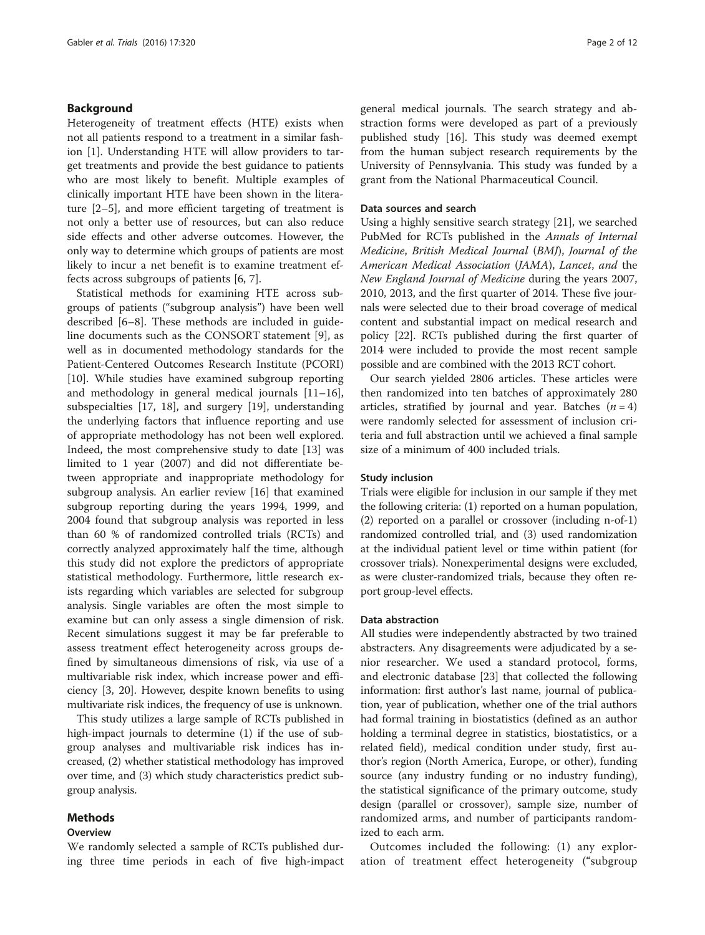#### Background

Heterogeneity of treatment effects (HTE) exists when not all patients respond to a treatment in a similar fashion [[1\]](#page-10-0). Understanding HTE will allow providers to target treatments and provide the best guidance to patients who are most likely to benefit. Multiple examples of clinically important HTE have been shown in the literature [[2](#page-10-0)–[5](#page-10-0)], and more efficient targeting of treatment is not only a better use of resources, but can also reduce side effects and other adverse outcomes. However, the only way to determine which groups of patients are most likely to incur a net benefit is to examine treatment effects across subgroups of patients [[6, 7\]](#page-10-0).

Statistical methods for examining HTE across subgroups of patients ("subgroup analysis") have been well described [[6](#page-10-0)–[8\]](#page-10-0). These methods are included in guideline documents such as the CONSORT statement [[9\]](#page-10-0), as well as in documented methodology standards for the Patient-Centered Outcomes Research Institute (PCORI) [[10\]](#page-10-0). While studies have examined subgroup reporting and methodology in general medical journals [[11](#page-10-0)–[16](#page-10-0)], subspecialties [[17, 18\]](#page-10-0), and surgery [\[19](#page-10-0)], understanding the underlying factors that influence reporting and use of appropriate methodology has not been well explored. Indeed, the most comprehensive study to date [[13](#page-10-0)] was limited to 1 year (2007) and did not differentiate between appropriate and inappropriate methodology for subgroup analysis. An earlier review [[16\]](#page-10-0) that examined subgroup reporting during the years 1994, 1999, and 2004 found that subgroup analysis was reported in less than 60 % of randomized controlled trials (RCTs) and correctly analyzed approximately half the time, although this study did not explore the predictors of appropriate statistical methodology. Furthermore, little research exists regarding which variables are selected for subgroup analysis. Single variables are often the most simple to examine but can only assess a single dimension of risk. Recent simulations suggest it may be far preferable to assess treatment effect heterogeneity across groups defined by simultaneous dimensions of risk, via use of a multivariable risk index, which increase power and efficiency [\[3](#page-10-0), [20](#page-10-0)]. However, despite known benefits to using multivariate risk indices, the frequency of use is unknown.

This study utilizes a large sample of RCTs published in high-impact journals to determine (1) if the use of subgroup analyses and multivariable risk indices has increased, (2) whether statistical methodology has improved over time, and (3) which study characteristics predict subgroup analysis.

#### Methods

#### **Overview**

We randomly selected a sample of RCTs published during three time periods in each of five high-impact general medical journals. The search strategy and abstraction forms were developed as part of a previously published study [[16\]](#page-10-0). This study was deemed exempt from the human subject research requirements by the University of Pennsylvania. This study was funded by a grant from the National Pharmaceutical Council.

#### Data sources and search

Using a highly sensitive search strategy [[21](#page-10-0)], we searched PubMed for RCTs published in the Annals of Internal Medicine, British Medical Journal (BMJ), Journal of the American Medical Association (JAMA), Lancet, and the New England Journal of Medicine during the years 2007, 2010, 2013, and the first quarter of 2014. These five journals were selected due to their broad coverage of medical content and substantial impact on medical research and policy [\[22](#page-10-0)]. RCTs published during the first quarter of 2014 were included to provide the most recent sample possible and are combined with the 2013 RCT cohort.

Our search yielded 2806 articles. These articles were then randomized into ten batches of approximately 280 articles, stratified by journal and year. Batches  $(n = 4)$ were randomly selected for assessment of inclusion criteria and full abstraction until we achieved a final sample size of a minimum of 400 included trials.

#### Study inclusion

Trials were eligible for inclusion in our sample if they met the following criteria: (1) reported on a human population, (2) reported on a parallel or crossover (including n-of-1) randomized controlled trial, and (3) used randomization at the individual patient level or time within patient (for crossover trials). Nonexperimental designs were excluded, as were cluster-randomized trials, because they often report group-level effects.

#### Data abstraction

All studies were independently abstracted by two trained abstracters. Any disagreements were adjudicated by a senior researcher. We used a standard protocol, forms, and electronic database [[23](#page-10-0)] that collected the following information: first author's last name, journal of publication, year of publication, whether one of the trial authors had formal training in biostatistics (defined as an author holding a terminal degree in statistics, biostatistics, or a related field), medical condition under study, first author's region (North America, Europe, or other), funding source (any industry funding or no industry funding), the statistical significance of the primary outcome, study design (parallel or crossover), sample size, number of randomized arms, and number of participants randomized to each arm.

Outcomes included the following: (1) any exploration of treatment effect heterogeneity ("subgroup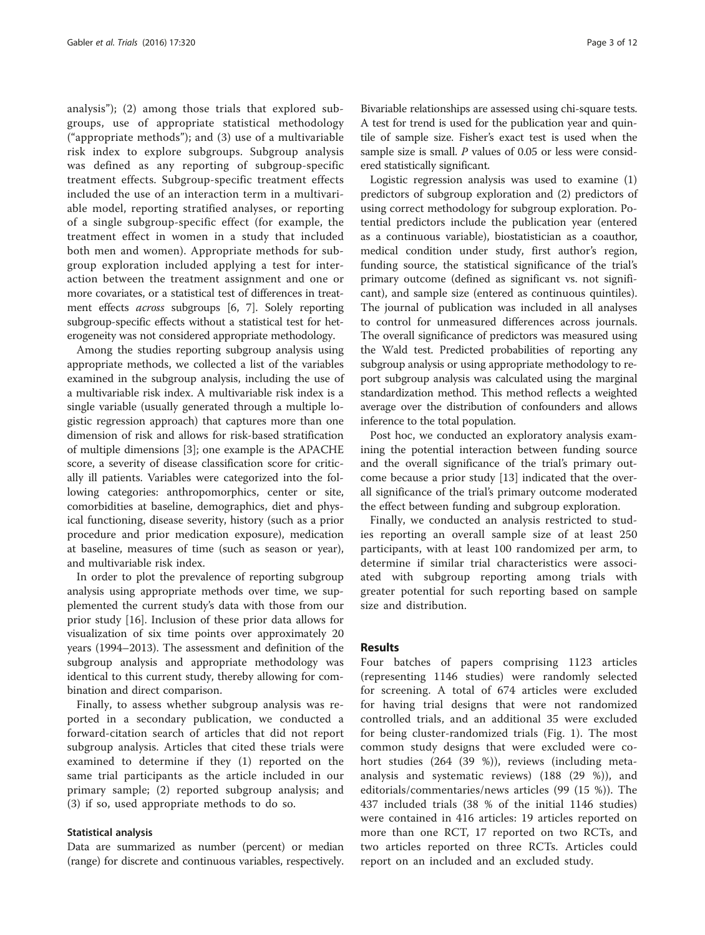analysis"); (2) among those trials that explored subgroups, use of appropriate statistical methodology ("appropriate methods"); and (3) use of a multivariable risk index to explore subgroups. Subgroup analysis was defined as any reporting of subgroup-specific treatment effects. Subgroup-specific treatment effects included the use of an interaction term in a multivariable model, reporting stratified analyses, or reporting of a single subgroup-specific effect (for example, the treatment effect in women in a study that included both men and women). Appropriate methods for subgroup exploration included applying a test for interaction between the treatment assignment and one or more covariates, or a statistical test of differences in treatment effects across subgroups [\[6, 7\]](#page-10-0). Solely reporting subgroup-specific effects without a statistical test for heterogeneity was not considered appropriate methodology.

Among the studies reporting subgroup analysis using appropriate methods, we collected a list of the variables examined in the subgroup analysis, including the use of a multivariable risk index. A multivariable risk index is a single variable (usually generated through a multiple logistic regression approach) that captures more than one dimension of risk and allows for risk-based stratification of multiple dimensions [[3\]](#page-10-0); one example is the APACHE score, a severity of disease classification score for critically ill patients. Variables were categorized into the following categories: anthropomorphics, center or site, comorbidities at baseline, demographics, diet and physical functioning, disease severity, history (such as a prior procedure and prior medication exposure), medication at baseline, measures of time (such as season or year), and multivariable risk index.

In order to plot the prevalence of reporting subgroup analysis using appropriate methods over time, we supplemented the current study's data with those from our prior study [\[16\]](#page-10-0). Inclusion of these prior data allows for visualization of six time points over approximately 20 years (1994–2013). The assessment and definition of the subgroup analysis and appropriate methodology was identical to this current study, thereby allowing for combination and direct comparison.

Finally, to assess whether subgroup analysis was reported in a secondary publication, we conducted a forward-citation search of articles that did not report subgroup analysis. Articles that cited these trials were examined to determine if they (1) reported on the same trial participants as the article included in our primary sample; (2) reported subgroup analysis; and (3) if so, used appropriate methods to do so.

#### Statistical analysis

Data are summarized as number (percent) or median (range) for discrete and continuous variables, respectively. Bivariable relationships are assessed using chi-square tests. A test for trend is used for the publication year and quintile of sample size. Fisher's exact test is used when the sample size is small. P values of 0.05 or less were considered statistically significant.

Logistic regression analysis was used to examine (1) predictors of subgroup exploration and (2) predictors of using correct methodology for subgroup exploration. Potential predictors include the publication year (entered as a continuous variable), biostatistician as a coauthor, medical condition under study, first author's region, funding source, the statistical significance of the trial's primary outcome (defined as significant vs. not significant), and sample size (entered as continuous quintiles). The journal of publication was included in all analyses to control for unmeasured differences across journals. The overall significance of predictors was measured using the Wald test. Predicted probabilities of reporting any subgroup analysis or using appropriate methodology to report subgroup analysis was calculated using the marginal standardization method. This method reflects a weighted average over the distribution of confounders and allows inference to the total population.

Post hoc, we conducted an exploratory analysis examining the potential interaction between funding source and the overall significance of the trial's primary outcome because a prior study [[13\]](#page-10-0) indicated that the overall significance of the trial's primary outcome moderated the effect between funding and subgroup exploration.

Finally, we conducted an analysis restricted to studies reporting an overall sample size of at least 250 participants, with at least 100 randomized per arm, to determine if similar trial characteristics were associated with subgroup reporting among trials with greater potential for such reporting based on sample size and distribution.

#### Results

Four batches of papers comprising 1123 articles (representing 1146 studies) were randomly selected for screening. A total of 674 articles were excluded for having trial designs that were not randomized controlled trials, and an additional 35 were excluded for being cluster-randomized trials (Fig. [1](#page-3-0)). The most common study designs that were excluded were cohort studies (264 (39 %)), reviews (including metaanalysis and systematic reviews) (188 (29 %)), and editorials/commentaries/news articles (99 (15 %)). The 437 included trials (38 % of the initial 1146 studies) were contained in 416 articles: 19 articles reported on more than one RCT, 17 reported on two RCTs, and two articles reported on three RCTs. Articles could report on an included and an excluded study.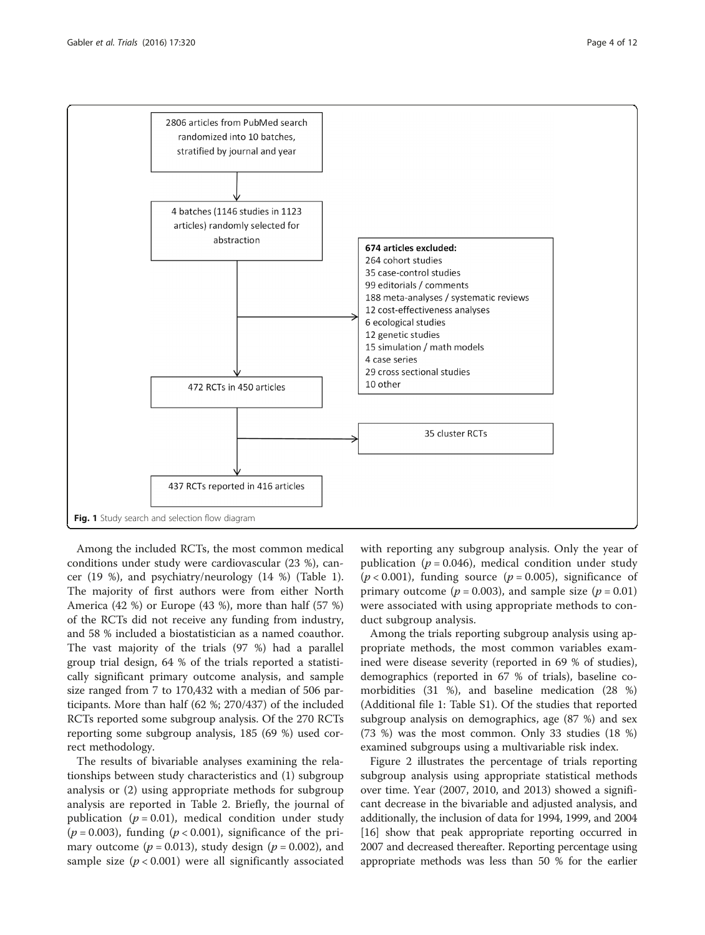<span id="page-3-0"></span>

Among the included RCTs, the most common medical conditions under study were cardiovascular (23 %), cancer (19 %), and psychiatry/neurology (14 %) (Table [1](#page-4-0)). The majority of first authors were from either North America (42 %) or Europe (43 %), more than half (57 %) of the RCTs did not receive any funding from industry, and 58 % included a biostatistician as a named coauthor. The vast majority of the trials (97 %) had a parallel group trial design, 64 % of the trials reported a statistically significant primary outcome analysis, and sample size ranged from 7 to 170,432 with a median of 506 participants. More than half (62 %; 270/437) of the included RCTs reported some subgroup analysis. Of the 270 RCTs reporting some subgroup analysis, 185 (69 %) used correct methodology.

The results of bivariable analyses examining the relationships between study characteristics and (1) subgroup analysis or (2) using appropriate methods for subgroup analysis are reported in Table [2.](#page-5-0) Briefly, the journal of publication ( $p = 0.01$ ), medical condition under study  $(p = 0.003)$ , funding  $(p < 0.001)$ , significance of the primary outcome ( $p = 0.013$ ), study design ( $p = 0.002$ ), and sample size  $(p < 0.001)$  were all significantly associated

with reporting any subgroup analysis. Only the year of publication ( $p = 0.046$ ), medical condition under study  $(p < 0.001)$ , funding source  $(p = 0.005)$ , significance of primary outcome ( $p = 0.003$ ), and sample size ( $p = 0.01$ ) were associated with using appropriate methods to conduct subgroup analysis.

Among the trials reporting subgroup analysis using appropriate methods, the most common variables examined were disease severity (reported in 69 % of studies), demographics (reported in 67 % of trials), baseline comorbidities (31 %), and baseline medication (28 %) (Additional file [1:](#page-10-0) Table S1). Of the studies that reported subgroup analysis on demographics, age (87 %) and sex (73 %) was the most common. Only 33 studies (18 %) examined subgroups using a multivariable risk index.

Figure [2](#page-6-0) illustrates the percentage of trials reporting subgroup analysis using appropriate statistical methods over time. Year (2007, 2010, and 2013) showed a significant decrease in the bivariable and adjusted analysis, and additionally, the inclusion of data for 1994, 1999, and 2004 [[16](#page-10-0)] show that peak appropriate reporting occurred in 2007 and decreased thereafter. Reporting percentage using appropriate methods was less than 50 % for the earlier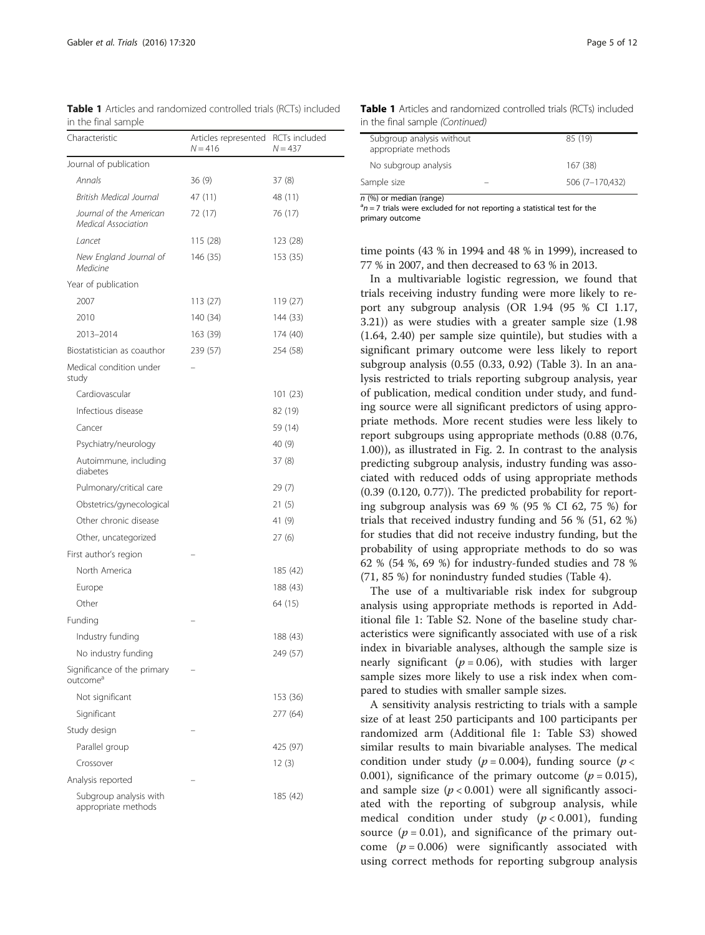| Characteristic                                      | Articles represented<br>$N = 416$ | RCTs included<br>$N = 437$ |
|-----------------------------------------------------|-----------------------------------|----------------------------|
| Journal of publication                              |                                   |                            |
| Annals                                              | 36(9)                             | 37(8)                      |
| British Medical Journal                             | 47 (11)                           | 48 (11)                    |
| Journal of the American<br>Medical Association      | 72 (17)                           | 76 (17)                    |
| Lancet                                              | 115 (28)                          | 123 (28)                   |
| New England Journal of<br>Medicine                  | 146 (35)                          | 153 (35)                   |
| Year of publication                                 |                                   |                            |
| 2007                                                | 113(27)                           | 119 (27)                   |
| 2010                                                | 140 (34)                          | 144 (33)                   |
| 2013-2014                                           | 163 (39)                          | 174 (40)                   |
| Biostatistician as coauthor                         | 239 (57)                          | 254 (58)                   |
| Medical condition under<br>study                    |                                   |                            |
| Cardiovascular                                      |                                   | 101(23)                    |
| Infectious disease                                  |                                   | 82 (19)                    |
| Cancer                                              |                                   | 59 (14)                    |
| Psychiatry/neurology                                |                                   | 40 (9)                     |
| Autoimmune, including<br>diabetes                   |                                   | 37(8)                      |
| Pulmonary/critical care                             |                                   | 29 (7)                     |
| Obstetrics/gynecological                            |                                   | 21(5)                      |
| Other chronic disease                               |                                   | 41 (9)                     |
| Other, uncategorized                                |                                   | 27 (6)                     |
| First author's region                               |                                   |                            |
| North America                                       |                                   | 185 (42)                   |
| Europe                                              |                                   | 188 (43)                   |
| Other                                               |                                   | 64 (15)                    |
| Funding                                             |                                   |                            |
| Industry funding                                    |                                   | 188 (43)                   |
| No industry funding                                 |                                   | 249 (57)                   |
| Significance of the primary<br>outcome <sup>a</sup> |                                   |                            |
| Not significant                                     |                                   | 153 (36)                   |
| Significant                                         |                                   | 277 (64)                   |
| Study design                                        |                                   |                            |
| Parallel group                                      |                                   | 425 (97)                   |
| Crossover                                           |                                   | 12(3)                      |
| Analysis reported                                   |                                   |                            |
| Subgroup analysis with<br>appropriate methods       |                                   | 185 (42)                   |

<span id="page-4-0"></span>Table 1 Articles and randomized controlled trials (RCTs) included in the final sample

Table 1 Articles and randomized controlled trials (RCTs) included in the final sample (Continued)

| Subgroup analysis without<br>appropriate methods | 85 (19)         |
|--------------------------------------------------|-----------------|
| No subgroup analysis                             | 167 (38)        |
| Sample size                                      | 506 (7-170,432) |

 $n$  (%) or median (range)

 $n = 7$  trials were excluded for not reporting a statistical test for the primary outcome

time points (43 % in 1994 and 48 % in 1999), increased to 77 % in 2007, and then decreased to 63 % in 2013.

In a multivariable logistic regression, we found that trials receiving industry funding were more likely to report any subgroup analysis (OR 1.94 (95 % CI 1.17, 3.21)) as were studies with a greater sample size (1.98 (1.64, 2.40) per sample size quintile), but studies with a significant primary outcome were less likely to report subgroup analysis (0.55 (0.33, 0.92) (Table [3\)](#page-7-0). In an analysis restricted to trials reporting subgroup analysis, year of publication, medical condition under study, and funding source were all significant predictors of using appropriate methods. More recent studies were less likely to report subgroups using appropriate methods (0.88 (0.76, 1.00)), as illustrated in Fig. [2](#page-6-0). In contrast to the analysis predicting subgroup analysis, industry funding was associated with reduced odds of using appropriate methods (0.39 (0.120, 0.77)). The predicted probability for reporting subgroup analysis was 69 % (95 % CI 62, 75 %) for trials that received industry funding and 56 % (51, 62 %) for studies that did not receive industry funding, but the probability of using appropriate methods to do so was 62 % (54 %, 69 %) for industry-funded studies and 78 % (71, 85 %) for nonindustry funded studies (Table [4](#page-8-0)).

The use of a multivariable risk index for subgroup analysis using appropriate methods is reported in Additional file [1:](#page-10-0) Table S2. None of the baseline study characteristics were significantly associated with use of a risk index in bivariable analyses, although the sample size is nearly significant ( $p = 0.06$ ), with studies with larger sample sizes more likely to use a risk index when compared to studies with smaller sample sizes.

A sensitivity analysis restricting to trials with a sample size of at least 250 participants and 100 participants per randomized arm (Additional file [1:](#page-10-0) Table S3) showed similar results to main bivariable analyses. The medical condition under study ( $p = 0.004$ ), funding source ( $p <$ 0.001), significance of the primary outcome ( $p = 0.015$ ), and sample size  $(p < 0.001)$  were all significantly associated with the reporting of subgroup analysis, while medical condition under study ( $p < 0.001$ ), funding source  $(p = 0.01)$ , and significance of the primary outcome  $(p = 0.006)$  were significantly associated with using correct methods for reporting subgroup analysis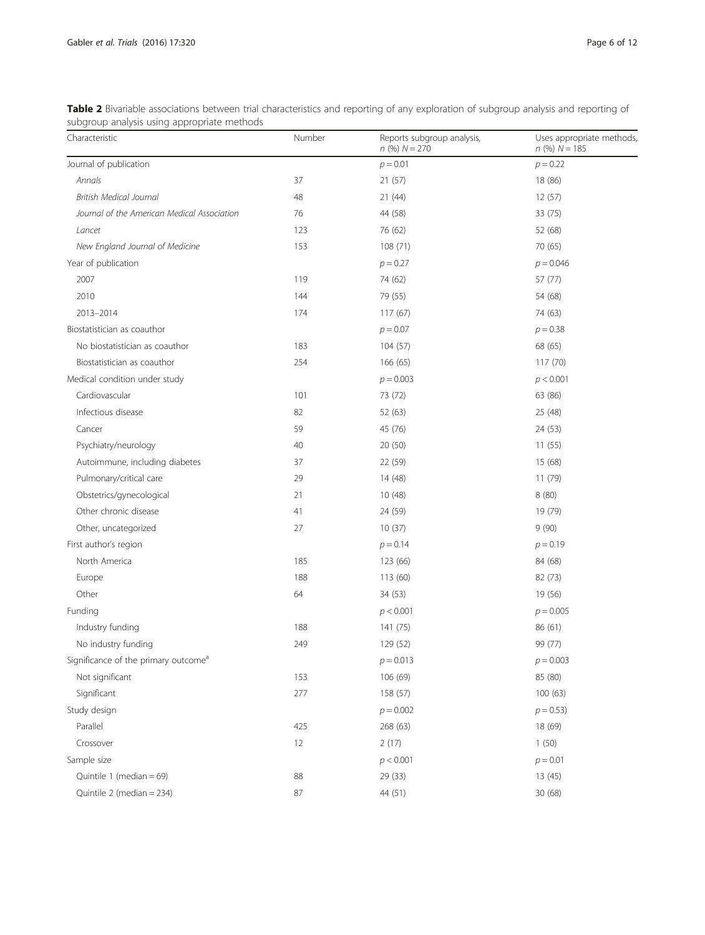<span id="page-5-0"></span>

| Table 2 Bivariable associations between trial characteristics and reporting of any exploration of subgroup analysis and reporting of |  |  |
|--------------------------------------------------------------------------------------------------------------------------------------|--|--|
| subgroup analysis using appropriate methods                                                                                          |  |  |

| Characteristic                                   | Number | Reports subgroup analysis,<br>$n(96)$ $N = 270$ | Uses appropriate methods,<br>$n$ (%) $N = 185$ |
|--------------------------------------------------|--------|-------------------------------------------------|------------------------------------------------|
| Journal of publication                           |        | $p = 0.01$                                      | $p = 0.22$                                     |
| Annals                                           | 37     | 21 (57)                                         | 18 (86)                                        |
| <b>British Medical Journal</b>                   | 48     | 21 (44)                                         | 12(57)                                         |
| Journal of the American Medical Association      | 76     | 44 (58)                                         | 33 (75)                                        |
| Lancet                                           | 123    | 76 (62)                                         | 52 (68)                                        |
| New England Journal of Medicine                  | 153    | 108(71)                                         | 70 (65)                                        |
| Year of publication                              |        | $p = 0.27$                                      | $p = 0.046$                                    |
| 2007                                             | 119    | 74 (62)                                         | 57 (77)                                        |
| 2010                                             | 144    | 79 (55)                                         | 54 (68)                                        |
| 2013-2014                                        | 174    | 117(67)                                         | 74 (63)                                        |
| Biostatistician as coauthor                      |        | $p = 0.07$                                      | $p = 0.38$                                     |
| No biostatistician as coauthor                   | 183    | 104(57)                                         | 68 (65)                                        |
| Biostatistician as coauthor                      | 254    | 166 (65)                                        | 117(70)                                        |
| Medical condition under study                    |        | $p = 0.003$                                     | p < 0.001                                      |
| Cardiovascular                                   | 101    | 73 (72)                                         | 63 (86)                                        |
| Infectious disease                               | 82     | 52 (63)                                         | 25 (48)                                        |
| Cancer                                           | 59     | 45 (76)                                         | 24 (53)                                        |
| Psychiatry/neurology                             | 40     | 20(50)                                          | 11(55)                                         |
| Autoimmune, including diabetes                   | 37     | 22 (59)                                         | 15 (68)                                        |
| Pulmonary/critical care                          | 29     | 14 (48)                                         | 11(79)                                         |
| Obstetrics/gynecological                         | 21     | 10(48)                                          | 8(80)                                          |
| Other chronic disease                            | 41     | 24 (59)                                         | 19 (79)                                        |
| Other, uncategorized                             | 27     | 10(37)                                          | 9(90)                                          |
| First author's region                            |        | $p = 0.14$                                      | $p = 0.19$                                     |
| North America                                    | 185    | 123 (66)                                        | 84 (68)                                        |
| Europe                                           | 188    | 113 (60)                                        | 82 (73)                                        |
| Other                                            | 64     | 34 (53)                                         | 19 (56)                                        |
| Funding                                          |        | p < 0.001                                       | $p = 0.005$                                    |
| Industry funding                                 | 188    | 141 (75)                                        | 86 (61)                                        |
| No industry funding                              | 249    | 129 (52)                                        | 99 (77)                                        |
| Significance of the primary outcome <sup>a</sup> |        | $p = 0.013$                                     | $p = 0.003$                                    |
| Not significant                                  | 153    | 106 (69)                                        | 85 (80)                                        |
| Significant                                      | 277    | 158 (57)                                        | 100(63)                                        |
| Study design                                     |        | $p = 0.002$                                     | $p = 0.53$                                     |
| Parallel                                         | 425    | 268 (63)                                        | 18 (69)                                        |
| Crossover                                        | 12     | 2(17)                                           | 1(50)                                          |
| Sample size                                      |        | p < 0.001                                       | $p = 0.01$                                     |
| Quintile 1 (median $= 69$ )                      | 88     | 29 (33)                                         | 13 (45)                                        |
| Quintile 2 (median = 234)                        | 87     | 44 (51)                                         | 30 (68)                                        |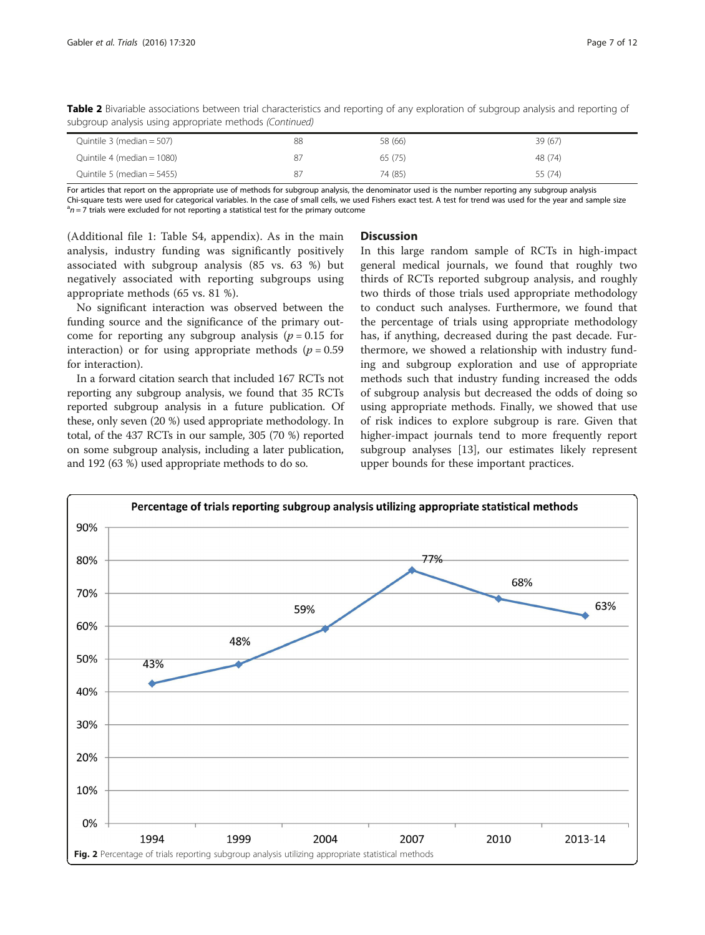<span id="page-6-0"></span>Table 2 Bivariable associations between trial characteristics and reporting of any exploration of subgroup analysis and reporting of subgroup analysis using appropriate methods (Continued)

| Quintile $3$ (median = 507)   | 88 | 58 (66) | 39(67)  |
|-------------------------------|----|---------|---------|
| Quintile 4 (median $= 1080$ ) | 87 | 65(75)  | 48 (74) |
| Quintile 5 (median $=$ 5455)  | 87 | 74 (85) | 55 (74) |

For articles that report on the appropriate use of methods for subgroup analysis, the denominator used is the number reporting any subgroup analysis Chi-square tests were used for categorical variables. In the case of small cells, we used Fishers exact test. A test for trend was used for the year and sample size <sup>a</sup>  $n^2$ n = 7 trials were excluded for not reporting a statistical test for the primary outcome

(Additional file [1:](#page-10-0) Table S4, appendix). As in the main analysis, industry funding was significantly positively associated with subgroup analysis (85 vs. 63 %) but negatively associated with reporting subgroups using appropriate methods (65 vs. 81 %).

No significant interaction was observed between the funding source and the significance of the primary outcome for reporting any subgroup analysis ( $p = 0.15$  for interaction) or for using appropriate methods  $(p = 0.59)$ for interaction).

In a forward citation search that included 167 RCTs not reporting any subgroup analysis, we found that 35 RCTs reported subgroup analysis in a future publication. Of these, only seven (20 %) used appropriate methodology. In total, of the 437 RCTs in our sample, 305 (70 %) reported on some subgroup analysis, including a later publication, and 192 (63 %) used appropriate methods to do so.

#### **Discussion**

In this large random sample of RCTs in high-impact general medical journals, we found that roughly two thirds of RCTs reported subgroup analysis, and roughly two thirds of those trials used appropriate methodology to conduct such analyses. Furthermore, we found that the percentage of trials using appropriate methodology has, if anything, decreased during the past decade. Furthermore, we showed a relationship with industry funding and subgroup exploration and use of appropriate methods such that industry funding increased the odds of subgroup analysis but decreased the odds of doing so using appropriate methods. Finally, we showed that use of risk indices to explore subgroup is rare. Given that higher-impact journals tend to more frequently report subgroup analyses [\[13\]](#page-10-0), our estimates likely represent upper bounds for these important practices.

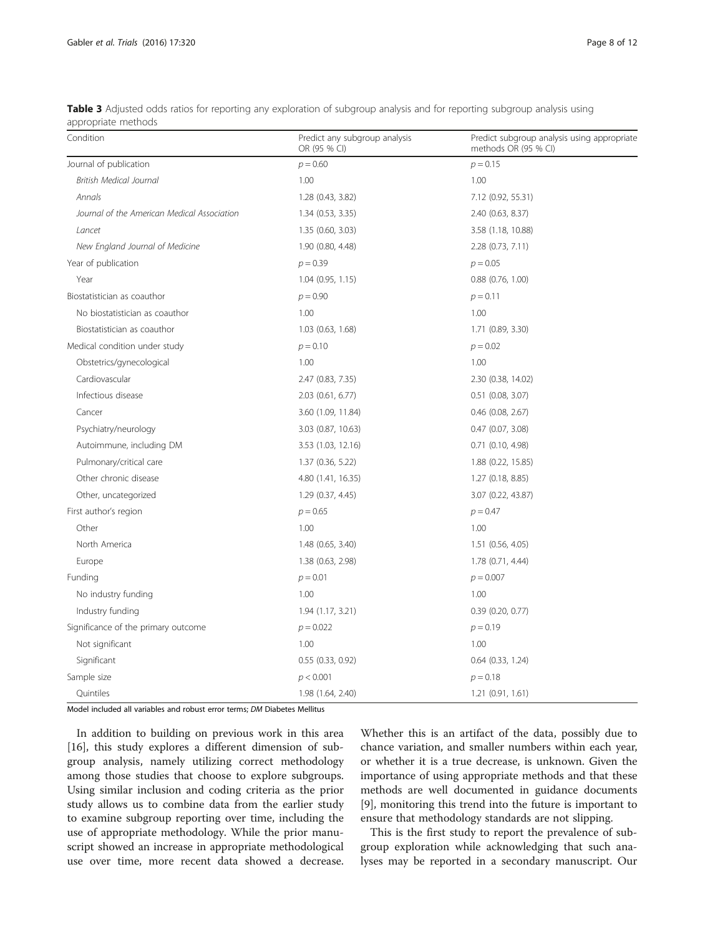| Condition                                   | Predict any subgroup analysis<br>OR (95 % CI) | Predict subgroup analysis using appropriate<br>methods OR (95 % CI) |  |  |  |  |
|---------------------------------------------|-----------------------------------------------|---------------------------------------------------------------------|--|--|--|--|
| Journal of publication                      | $p = 0.60$                                    | $p = 0.15$                                                          |  |  |  |  |
| <b>British Medical Journal</b>              | 1.00                                          | 1.00                                                                |  |  |  |  |
| Annals                                      | 1.28 (0.43, 3.82)                             | 7.12 (0.92, 55.31)                                                  |  |  |  |  |
| Journal of the American Medical Association | 1.34(0.53, 3.35)                              | 2.40 (0.63, 8.37)                                                   |  |  |  |  |
| Lancet                                      | 1.35 (0.60, 3.03)                             | 3.58 (1.18, 10.88)                                                  |  |  |  |  |
| New England Journal of Medicine             | 1.90 (0.80, 4.48)                             | 2.28 (0.73, 7.11)                                                   |  |  |  |  |
| Year of publication                         | $p = 0.39$                                    | $p = 0.05$                                                          |  |  |  |  |
| Year                                        | $1.04$ (0.95, 1.15)                           | $0.88$ $(0.76, 1.00)$                                               |  |  |  |  |
| Biostatistician as coauthor                 | $p = 0.90$                                    | $p = 0.11$                                                          |  |  |  |  |
| No biostatistician as coauthor              | 1.00                                          | 1.00                                                                |  |  |  |  |
| Biostatistician as coauthor                 | 1.03 (0.63, 1.68)                             | 1.71 (0.89, 3.30)                                                   |  |  |  |  |
| Medical condition under study               | $p = 0.10$                                    | $p = 0.02$                                                          |  |  |  |  |
| Obstetrics/gynecological                    | 1.00                                          | 1.00                                                                |  |  |  |  |
| Cardiovascular                              | 2.47 (0.83, 7.35)                             | 2.30 (0.38, 14.02)                                                  |  |  |  |  |
| Infectious disease                          | $2.03$ $(0.61, 6.77)$                         | $0.51$ (0.08, 3.07)                                                 |  |  |  |  |
| Cancer                                      | 3.60 (1.09, 11.84)                            | $0.46$ (0.08, 2.67)                                                 |  |  |  |  |
| Psychiatry/neurology                        | 3.03 (0.87, 10.63)                            | $0.47$ $(0.07, 3.08)$                                               |  |  |  |  |
| Autoimmune, including DM                    | 3.53 (1.03, 12.16)                            | 0.71 (0.10, 4.98)                                                   |  |  |  |  |
| Pulmonary/critical care                     | 1.37 (0.36, 5.22)                             | 1.88 (0.22, 15.85)                                                  |  |  |  |  |
| Other chronic disease                       | 4.80 (1.41, 16.35)                            | 1.27(0.18, 8.85)                                                    |  |  |  |  |
| Other, uncategorized                        | 1.29 (0.37, 4.45)                             | 3.07 (0.22, 43.87)                                                  |  |  |  |  |
| First author's region                       | $p = 0.65$                                    | $p = 0.47$                                                          |  |  |  |  |
| Other                                       | 1.00                                          | 1.00                                                                |  |  |  |  |
| North America                               | 1.48 (0.65, 3.40)                             | 1.51 (0.56, 4.05)                                                   |  |  |  |  |
| Europe                                      | 1.38 (0.63, 2.98)                             | 1.78 (0.71, 4.44)                                                   |  |  |  |  |
| Funding                                     | $p = 0.01$                                    | $p = 0.007$                                                         |  |  |  |  |
| No industry funding                         | 1.00                                          | 1.00                                                                |  |  |  |  |
| Industry funding                            | 1.94 (1.17, 3.21)                             | 0.39(0.20, 0.77)                                                    |  |  |  |  |
| Significance of the primary outcome         | $p = 0.022$                                   | $p = 0.19$                                                          |  |  |  |  |
| Not significant                             | 1.00                                          | 1.00                                                                |  |  |  |  |
| Significant                                 | 0.55(0.33, 0.92)                              | 0.64 (0.33, 1.24)                                                   |  |  |  |  |
| Sample size                                 | p < 0.001                                     | $p = 0.18$                                                          |  |  |  |  |
| Quintiles                                   | 1.98 (1.64, 2.40)                             | 1.21(0.91, 1.61)                                                    |  |  |  |  |

<span id="page-7-0"></span>Table 3 Adjusted odds ratios for reporting any exploration of subgroup analysis and for reporting subgroup analysis using appropriate methods

Model included all variables and robust error terms; DM Diabetes Mellitus

In addition to building on previous work in this area [[16\]](#page-10-0), this study explores a different dimension of subgroup analysis, namely utilizing correct methodology among those studies that choose to explore subgroups. Using similar inclusion and coding criteria as the prior study allows us to combine data from the earlier study to examine subgroup reporting over time, including the use of appropriate methodology. While the prior manuscript showed an increase in appropriate methodological use over time, more recent data showed a decrease.

Whether this is an artifact of the data, possibly due to chance variation, and smaller numbers within each year, or whether it is a true decrease, is unknown. Given the importance of using appropriate methods and that these methods are well documented in guidance documents [[9\]](#page-10-0), monitoring this trend into the future is important to ensure that methodology standards are not slipping.

This is the first study to report the prevalence of subgroup exploration while acknowledging that such analyses may be reported in a secondary manuscript. Our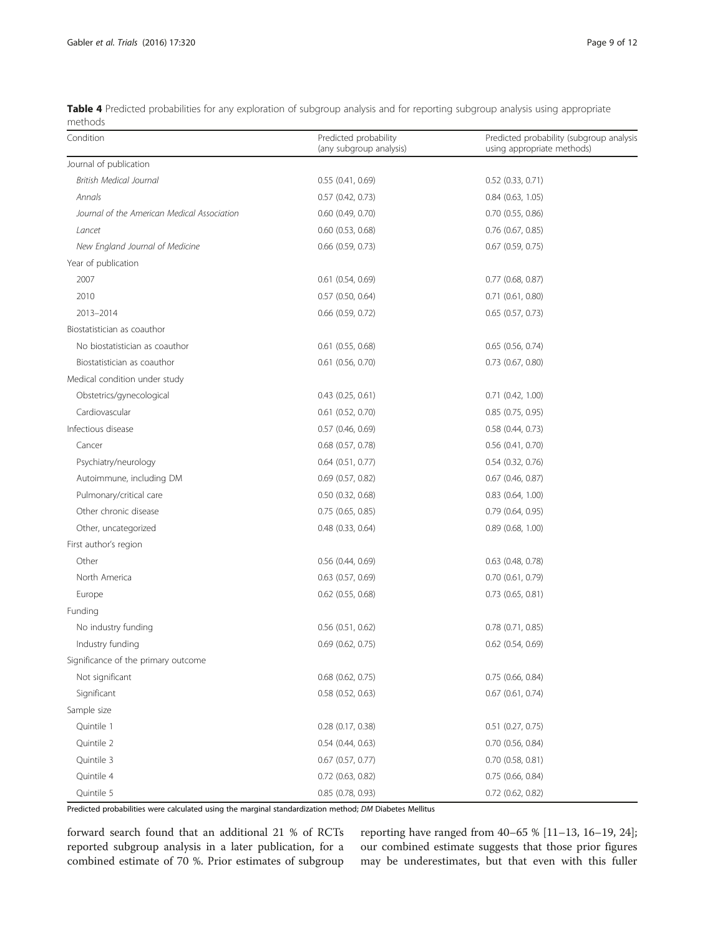<span id="page-8-0"></span>

|         | Table 4 Predicted probabilities for any exploration of subgroup analysis and for reporting subgroup analysis using appropriate |  |  |  |  |  |  |
|---------|--------------------------------------------------------------------------------------------------------------------------------|--|--|--|--|--|--|
| methods |                                                                                                                                |  |  |  |  |  |  |

| Condition                                   | Predicted probability<br>(any subgroup analysis) | Predicted probability (subgroup analysis<br>using appropriate methods) |  |  |  |  |
|---------------------------------------------|--------------------------------------------------|------------------------------------------------------------------------|--|--|--|--|
| Journal of publication                      |                                                  |                                                                        |  |  |  |  |
| <b>British Medical Journal</b>              | 0.55(0.41, 0.69)                                 | $0.52$ (0.33, 0.71)                                                    |  |  |  |  |
| Annals                                      | $0.57$ (0.42, 0.73)                              | $0.84$ $(0.63, 1.05)$                                                  |  |  |  |  |
| Journal of the American Medical Association | $0.60$ $(0.49, 0.70)$                            | 0.70 (0.55, 0.86)                                                      |  |  |  |  |
| Lancet                                      | $0.60$ $(0.53, 0.68)$                            | $0.76$ $(0.67, 0.85)$                                                  |  |  |  |  |
| New England Journal of Medicine             | $0.66$ $(0.59, 0.73)$                            | 0.67 (0.59, 0.75)                                                      |  |  |  |  |
| Year of publication                         |                                                  |                                                                        |  |  |  |  |
| 2007                                        | $0.61$ $(0.54, 0.69)$                            | $0.77$ (0.68, 0.87)                                                    |  |  |  |  |
| 2010                                        | $0.57$ (0.50, 0.64)                              | $0.71$ $(0.61, 0.80)$                                                  |  |  |  |  |
| 2013-2014                                   | $0.66$ $(0.59, 0.72)$                            | $0.65$ $(0.57, 0.73)$                                                  |  |  |  |  |
| Biostatistician as coauthor                 |                                                  |                                                                        |  |  |  |  |
| No biostatistician as coauthor              | $0.61$ $(0.55, 0.68)$                            | $0.65$ $(0.56, 0.74)$                                                  |  |  |  |  |
| Biostatistician as coauthor                 | $0.61$ $(0.56, 0.70)$                            | $0.73$ $(0.67, 0.80)$                                                  |  |  |  |  |
| Medical condition under study               |                                                  |                                                                        |  |  |  |  |
| Obstetrics/gynecological                    | $0.43$ (0.25, 0.61)                              | 0.71(0.42, 1.00)                                                       |  |  |  |  |
| Cardiovascular                              | $0.61$ $(0.52, 0.70)$                            | $0.85$ (0.75, 0.95)                                                    |  |  |  |  |
| Infectious disease                          | 0.57 (0.46, 0.69)                                | $0.58$ $(0.44, 0.73)$                                                  |  |  |  |  |
| Cancer                                      | $0.68$ $(0.57, 0.78)$                            | $0.56$ $(0.41, 0.70)$                                                  |  |  |  |  |
| Psychiatry/neurology                        | $0.64$ $(0.51, 0.77)$                            | $0.54$ $(0.32, 0.76)$                                                  |  |  |  |  |
| Autoimmune, including DM                    | $0.69$ $(0.57, 0.82)$                            | $0.67$ (0.46, 0.87)                                                    |  |  |  |  |
| Pulmonary/critical care                     | $0.50$ $(0.32, 0.68)$                            | $0.83$ $(0.64, 1.00)$                                                  |  |  |  |  |
| Other chronic disease                       | 0.75(0.65, 0.85)                                 | $0.79$ $(0.64, 0.95)$                                                  |  |  |  |  |
| Other, uncategorized                        | $0.48$ $(0.33, 0.64)$                            | $0.89$ (0.68, 1.00)                                                    |  |  |  |  |
| First author's region                       |                                                  |                                                                        |  |  |  |  |
| Other                                       | $0.56$ (0.44, 0.69)                              | $0.63$ (0.48, 0.78)                                                    |  |  |  |  |
| North America                               | $0.63$ $(0.57, 0.69)$                            | $0.70$ $(0.61, 0.79)$                                                  |  |  |  |  |
| Europe                                      | $0.62$ (0.55, 0.68)                              | $0.73$ $(0.65, 0.81)$                                                  |  |  |  |  |
| Funding                                     |                                                  |                                                                        |  |  |  |  |
| No industry funding                         | $0.56$ $(0.51, 0.62)$                            | $0.78$ $(0.71, 0.85)$                                                  |  |  |  |  |
| Industry funding                            | $0.69$ (0.62, 0.75)                              | $0.62$ (0.54, 0.69)                                                    |  |  |  |  |
| Significance of the primary outcome         |                                                  |                                                                        |  |  |  |  |
| Not significant                             | $0.68$ $(0.62, 0.75)$                            | $0.75$ (0.66, 0.84)                                                    |  |  |  |  |
| Significant                                 | 0.58(0.52, 0.63)                                 | $0.67$ (0.61, 0.74)                                                    |  |  |  |  |
| Sample size                                 |                                                  |                                                                        |  |  |  |  |
| Quintile 1                                  | 0.28(0.17, 0.38)                                 | 0.51 (0.27, 0.75)                                                      |  |  |  |  |
| Quintile 2                                  | 0.54(0.44, 0.63)                                 | $0.70$ $(0.56, 0.84)$                                                  |  |  |  |  |
| Quintile 3                                  | $0.67$ $(0.57, 0.77)$                            | 0.70 (0.58, 0.81)                                                      |  |  |  |  |
| Quintile 4                                  | $0.72$ (0.63, 0.82)                              | $0.75$ (0.66, 0.84)                                                    |  |  |  |  |
| Quintile 5                                  | 0.85 (0.78, 0.93)                                | 0.72 (0.62, 0.82)                                                      |  |  |  |  |

Predicted probabilities were calculated using the marginal standardization method; DM Diabetes Mellitus

forward search found that an additional 21 % of RCTs reported subgroup analysis in a later publication, for a combined estimate of 70 %. Prior estimates of subgroup reporting have ranged from 40–65 % [\[11](#page-10-0)–[13, 16](#page-10-0)–[19](#page-10-0), [24](#page-10-0)]; our combined estimate suggests that those prior figures may be underestimates, but that even with this fuller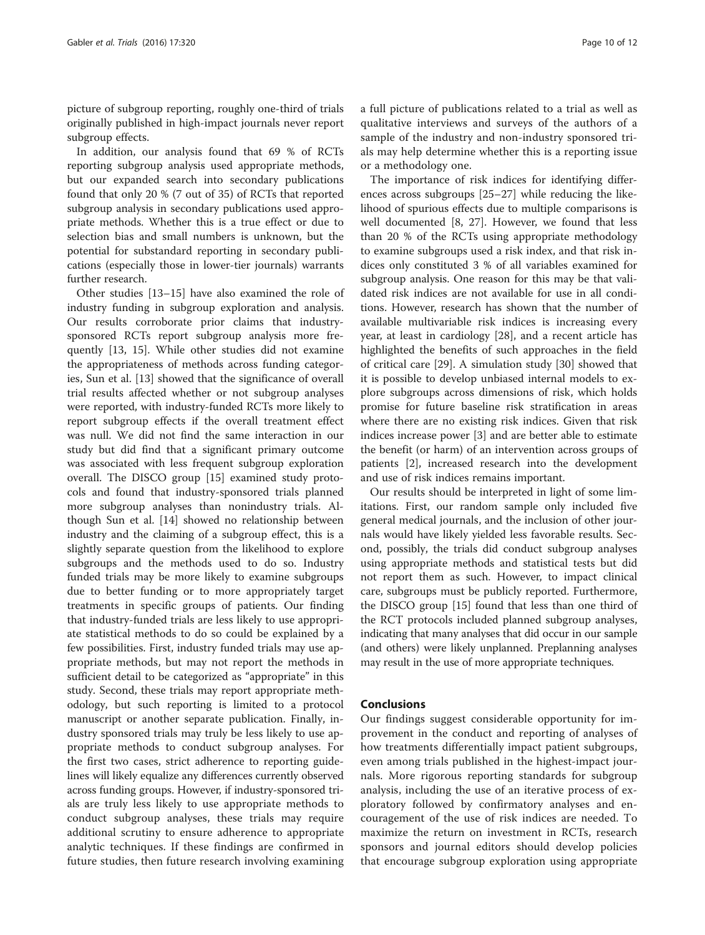picture of subgroup reporting, roughly one-third of trials originally published in high-impact journals never report subgroup effects.

In addition, our analysis found that 69 % of RCTs reporting subgroup analysis used appropriate methods, but our expanded search into secondary publications found that only 20 % (7 out of 35) of RCTs that reported subgroup analysis in secondary publications used appropriate methods. Whether this is a true effect or due to selection bias and small numbers is unknown, but the potential for substandard reporting in secondary publications (especially those in lower-tier journals) warrants further research.

Other studies [\[13](#page-10-0)–[15\]](#page-10-0) have also examined the role of industry funding in subgroup exploration and analysis. Our results corroborate prior claims that industrysponsored RCTs report subgroup analysis more frequently [[13, 15](#page-10-0)]. While other studies did not examine the appropriateness of methods across funding categories, Sun et al. [\[13](#page-10-0)] showed that the significance of overall trial results affected whether or not subgroup analyses were reported, with industry-funded RCTs more likely to report subgroup effects if the overall treatment effect was null. We did not find the same interaction in our study but did find that a significant primary outcome was associated with less frequent subgroup exploration overall. The DISCO group [\[15\]](#page-10-0) examined study protocols and found that industry-sponsored trials planned more subgroup analyses than nonindustry trials. Although Sun et al. [[14\]](#page-10-0) showed no relationship between industry and the claiming of a subgroup effect, this is a slightly separate question from the likelihood to explore subgroups and the methods used to do so. Industry funded trials may be more likely to examine subgroups due to better funding or to more appropriately target treatments in specific groups of patients. Our finding that industry-funded trials are less likely to use appropriate statistical methods to do so could be explained by a few possibilities. First, industry funded trials may use appropriate methods, but may not report the methods in sufficient detail to be categorized as "appropriate" in this study. Second, these trials may report appropriate methodology, but such reporting is limited to a protocol manuscript or another separate publication. Finally, industry sponsored trials may truly be less likely to use appropriate methods to conduct subgroup analyses. For the first two cases, strict adherence to reporting guidelines will likely equalize any differences currently observed across funding groups. However, if industry-sponsored trials are truly less likely to use appropriate methods to conduct subgroup analyses, these trials may require additional scrutiny to ensure adherence to appropriate analytic techniques. If these findings are confirmed in future studies, then future research involving examining

a full picture of publications related to a trial as well as qualitative interviews and surveys of the authors of a sample of the industry and non-industry sponsored trials may help determine whether this is a reporting issue or a methodology one.

The importance of risk indices for identifying differences across subgroups [[25](#page-11-0)–[27](#page-11-0)] while reducing the likelihood of spurious effects due to multiple comparisons is well documented [\[8](#page-10-0), [27](#page-11-0)]. However, we found that less than 20 % of the RCTs using appropriate methodology to examine subgroups used a risk index, and that risk indices only constituted 3 % of all variables examined for subgroup analysis. One reason for this may be that validated risk indices are not available for use in all conditions. However, research has shown that the number of available multivariable risk indices is increasing every year, at least in cardiology [[28\]](#page-11-0), and a recent article has highlighted the benefits of such approaches in the field of critical care [[29\]](#page-11-0). A simulation study [[30](#page-11-0)] showed that it is possible to develop unbiased internal models to explore subgroups across dimensions of risk, which holds promise for future baseline risk stratification in areas where there are no existing risk indices. Given that risk indices increase power [\[3](#page-10-0)] and are better able to estimate the benefit (or harm) of an intervention across groups of patients [[2\]](#page-10-0), increased research into the development and use of risk indices remains important.

Our results should be interpreted in light of some limitations. First, our random sample only included five general medical journals, and the inclusion of other journals would have likely yielded less favorable results. Second, possibly, the trials did conduct subgroup analyses using appropriate methods and statistical tests but did not report them as such. However, to impact clinical care, subgroups must be publicly reported. Furthermore, the DISCO group [\[15\]](#page-10-0) found that less than one third of the RCT protocols included planned subgroup analyses, indicating that many analyses that did occur in our sample (and others) were likely unplanned. Preplanning analyses may result in the use of more appropriate techniques.

### Conclusions

Our findings suggest considerable opportunity for improvement in the conduct and reporting of analyses of how treatments differentially impact patient subgroups, even among trials published in the highest-impact journals. More rigorous reporting standards for subgroup analysis, including the use of an iterative process of exploratory followed by confirmatory analyses and encouragement of the use of risk indices are needed. To maximize the return on investment in RCTs, research sponsors and journal editors should develop policies that encourage subgroup exploration using appropriate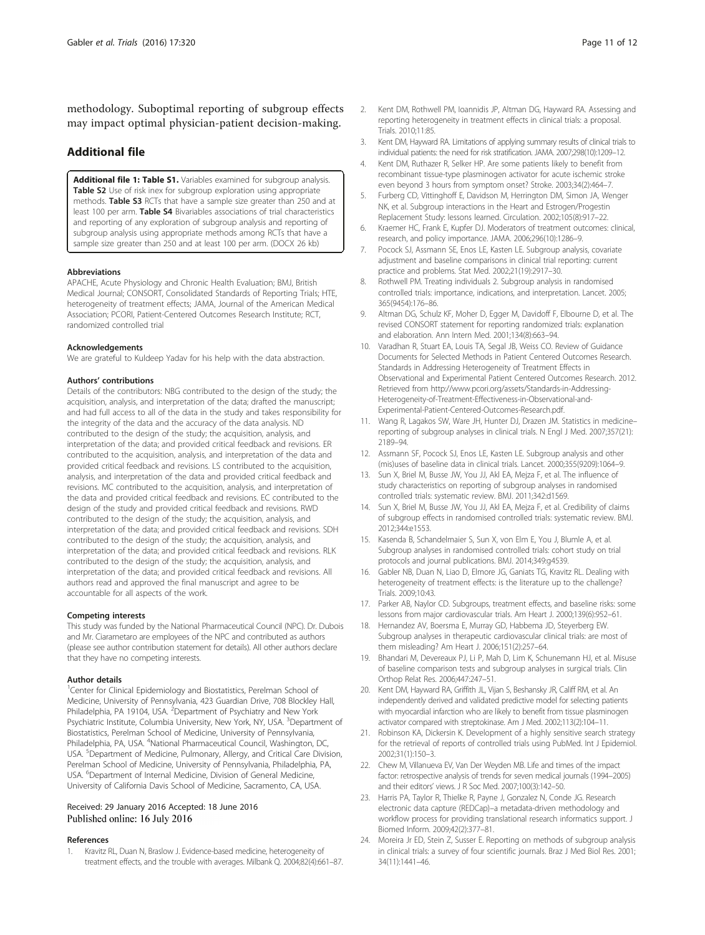<span id="page-10-0"></span>methodology. Suboptimal reporting of subgroup effects may impact optimal physician-patient decision-making.

#### Additional file

[Additional file 1: Table S1.](dx.doi.org/10.1186/s13063-016-1447-5) Variables examined for subgroup analysis. Table S2 Use of risk inex for subgroup exploration using appropriate methods. Table S3 RCTs that have a sample size greater than 250 and at least 100 per arm. Table S4 Bivariables associations of trial characteristics and reporting of any exploration of subgroup analysis and reporting of subgroup analysis using appropriate methods among RCTs that have a sample size greater than 250 and at least 100 per arm. (DOCX 26 kb)

#### Abbreviations

APACHE, Acute Physiology and Chronic Health Evaluation; BMJ, British Medical Journal; CONSORT, Consolidated Standards of Reporting Trials; HTE, heterogeneity of treatment effects; JAMA, Journal of the American Medical Association; PCORI, Patient-Centered Outcomes Research Institute; RCT, randomized controlled trial

#### Acknowledgements

We are grateful to Kuldeep Yadav for his help with the data abstraction.

#### Authors' contributions

Details of the contributors: NBG contributed to the design of the study; the acquisition, analysis, and interpretation of the data; drafted the manuscript; and had full access to all of the data in the study and takes responsibility for the integrity of the data and the accuracy of the data analysis. ND contributed to the design of the study; the acquisition, analysis, and interpretation of the data; and provided critical feedback and revisions. ER contributed to the acquisition, analysis, and interpretation of the data and provided critical feedback and revisions. LS contributed to the acquisition, analysis, and interpretation of the data and provided critical feedback and revisions. MC contributed to the acquisition, analysis, and interpretation of the data and provided critical feedback and revisions. EC contributed to the design of the study and provided critical feedback and revisions. RWD contributed to the design of the study; the acquisition, analysis, and interpretation of the data; and provided critical feedback and revisions. SDH contributed to the design of the study; the acquisition, analysis, and interpretation of the data; and provided critical feedback and revisions. RLK contributed to the design of the study; the acquisition, analysis, and interpretation of the data; and provided critical feedback and revisions. All authors read and approved the final manuscript and agree to be accountable for all aspects of the work.

#### Competing interests

This study was funded by the National Pharmaceutical Council (NPC). Dr. Dubois and Mr. Ciarametaro are employees of the NPC and contributed as authors (please see author contribution statement for details). All other authors declare that they have no competing interests.

#### Author details

<sup>1</sup>Center for Clinical Epidemiology and Biostatistics, Perelman School of Medicine, University of Pennsylvania, 423 Guardian Drive, 708 Blockley Hall, Philadelphia, PA 19104, USA. <sup>2</sup> Department of Psychiatry and New York Psychiatric Institute, Columbia University, New York, NY, USA. <sup>3</sup>Department of Biostatistics, Perelman School of Medicine, University of Pennsylvania, Philadelphia, PA, USA. <sup>4</sup>National Pharmaceutical Council, Washington, DC, USA. <sup>5</sup>Department of Medicine, Pulmonary, Allergy, and Critical Care Division, Perelman School of Medicine, University of Pennsylvania, Philadelphia, PA, USA. <sup>6</sup>Department of Internal Medicine, Division of General Medicine, University of California Davis School of Medicine, Sacramento, CA, USA.

#### Received: 29 January 2016 Accepted: 18 June 2016 Published online: 16 July 2016

#### References

1. Kravitz RL, Duan N, Braslow J. Evidence-based medicine, heterogeneity of treatment effects, and the trouble with averages. Milbank Q. 2004;82(4):661–87.

- 2. Kent DM, Rothwell PM, Ioannidis JP, Altman DG, Hayward RA. Assessing and reporting heterogeneity in treatment effects in clinical trials: a proposal. Trials. 2010;11:85.
- 3. Kent DM, Hayward RA. Limitations of applying summary results of clinical trials to individual patients: the need for risk stratification. JAMA. 2007;298(10):1209–12.
- 4. Kent DM, Ruthazer R, Selker HP. Are some patients likely to benefit from recombinant tissue-type plasminogen activator for acute ischemic stroke even beyond 3 hours from symptom onset? Stroke. 2003;34(2):464–7.
- 5. Furberg CD, Vittinghoff E, Davidson M, Herrington DM, Simon JA, Wenger NK, et al. Subgroup interactions in the Heart and Estrogen/Progestin Replacement Study: lessons learned. Circulation. 2002;105(8):917–22.
- 6. Kraemer HC, Frank E, Kupfer DJ. Moderators of treatment outcomes: clinical, research, and policy importance. JAMA. 2006;296(10):1286–9.
- 7. Pocock SJ, Assmann SE, Enos LE, Kasten LE. Subgroup analysis, covariate adjustment and baseline comparisons in clinical trial reporting: current practice and problems. Stat Med. 2002;21(19):2917–30.
- 8. Rothwell PM. Treating individuals 2. Subgroup analysis in randomised controlled trials: importance, indications, and interpretation. Lancet. 2005; 365(9454):176–86.
- 9. Altman DG, Schulz KF, Moher D, Egger M, Davidoff F, Elbourne D, et al. The revised CONSORT statement for reporting randomized trials: explanation and elaboration. Ann Intern Med. 2001;134(8):663–94.
- 10. Varadhan R, Stuart EA, Louis TA, Segal JB, Weiss CO. Review of Guidance Documents for Selected Methods in Patient Centered Outcomes Research. Standards in Addressing Heterogeneity of Treatment Effects in Observational and Experimental Patient Centered Outcomes Research. 2012. Retrieved from [http://www.pcori.org/assets/Standards-in-Addressing-](http://www.pcori.org/assets/Standards-in-Addressing-Heterogeneity-of-Treatment-Effectiveness-in-Observational-and-Experimental-Patient-Centered-Outcomes-Research.pdf)[Heterogeneity-of-Treatment-Effectiveness-in-Observational-and-](http://www.pcori.org/assets/Standards-in-Addressing-Heterogeneity-of-Treatment-Effectiveness-in-Observational-and-Experimental-Patient-Centered-Outcomes-Research.pdf)[Experimental-Patient-Centered-Outcomes-Research.pdf.](http://www.pcori.org/assets/Standards-in-Addressing-Heterogeneity-of-Treatment-Effectiveness-in-Observational-and-Experimental-Patient-Centered-Outcomes-Research.pdf)
- 11. Wang R, Lagakos SW, Ware JH, Hunter DJ, Drazen JM. Statistics in medicine– reporting of subgroup analyses in clinical trials. N Engl J Med. 2007;357(21): 2189–94.
- 12. Assmann SF, Pocock SJ, Enos LE, Kasten LE. Subgroup analysis and other (mis)uses of baseline data in clinical trials. Lancet. 2000;355(9209):1064–9.
- 13. Sun X, Briel M, Busse JW, You JJ, Akl EA, Mejza F, et al. The influence of study characteristics on reporting of subgroup analyses in randomised controlled trials: systematic review. BMJ. 2011;342:d1569.
- 14. Sun X, Briel M, Busse JW, You JJ, Akl EA, Mejza F, et al. Credibility of claims of subgroup effects in randomised controlled trials: systematic review. BMJ. 2012;344:e1553.
- 15. Kasenda B, Schandelmaier S, Sun X, von Elm E, You J, Blumle A, et al. Subgroup analyses in randomised controlled trials: cohort study on trial protocols and journal publications. BMJ. 2014;349:g4539.
- 16. Gabler NB, Duan N, Liao D, Elmore JG, Ganiats TG, Kravitz RL. Dealing with heterogeneity of treatment effects: is the literature up to the challenge? Trials. 2009;10:43.
- 17. Parker AB, Naylor CD. Subgroups, treatment effects, and baseline risks: some lessons from major cardiovascular trials. Am Heart J. 2000;139(6):952–61.
- 18. Hernandez AV, Boersma E, Murray GD, Habbema JD, Steyerberg EW. Subgroup analyses in therapeutic cardiovascular clinical trials: are most of them misleading? Am Heart J. 2006;151(2):257–64.
- 19. Bhandari M, Devereaux PJ, Li P, Mah D, Lim K, Schunemann HJ, et al. Misuse of baseline comparison tests and subgroup analyses in surgical trials. Clin Orthop Relat Res. 2006;447:247–51.
- 20. Kent DM, Hayward RA, Griffith JL, Vijan S, Beshansky JR, Califf RM, et al. An independently derived and validated predictive model for selecting patients with myocardial infarction who are likely to benefit from tissue plasminogen activator compared with streptokinase. Am J Med. 2002;113(2):104–11.
- 21. Robinson KA, Dickersin K. Development of a highly sensitive search strategy for the retrieval of reports of controlled trials using PubMed. Int J Epidemiol. 2002;31(1):150–3.
- 22. Chew M, Villanueva EV, Van Der Weyden MB. Life and times of the impact factor: retrospective analysis of trends for seven medical journals (1994–2005) and their editors' views. J R Soc Med. 2007;100(3):142–50.
- 23. Harris PA, Taylor R, Thielke R, Payne J, Gonzalez N, Conde JG. Research electronic data capture (REDCap)–a metadata-driven methodology and workflow process for providing translational research informatics support. J Biomed Inform. 2009;42(2):377–81.
- 24. Moreira Jr ED, Stein Z, Susser E. Reporting on methods of subgroup analysis in clinical trials: a survey of four scientific journals. Braz J Med Biol Res. 2001; 34(11):1441–46.